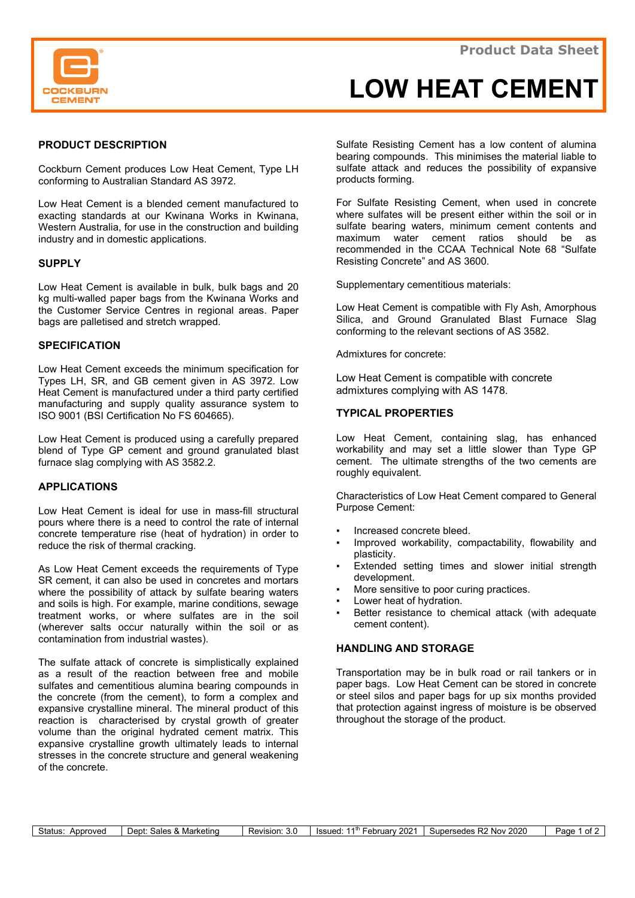

# LOW HEAT CEMENT

## PRODUCT DESCRIPTION

Cockburn Cement produces Low Heat Cement, Type LH conforming to Australian Standard AS 3972.

Low Heat Cement is a blended cement manufactured to exacting standards at our Kwinana Works in Kwinana, Western Australia, for use in the construction and building industry and in domestic applications.

# **SUPPLY**

Low Heat Cement is available in bulk, bulk bags and 20 kg multi-walled paper bags from the Kwinana Works and the Customer Service Centres in regional areas. Paper bags are palletised and stretch wrapped.

# **SPECIFICATION**

Low Heat Cement exceeds the minimum specification for Types LH, SR, and GB cement given in AS 3972. Low Heat Cement is manufactured under a third party certified manufacturing and supply quality assurance system to ISO 9001 (BSI Certification No FS 604665).

Low Heat Cement is produced using a carefully prepared blend of Type GP cement and ground granulated blast furnace slag complying with AS 3582.2.

### APPLICATIONS

Low Heat Cement is ideal for use in mass-fill structural pours where there is a need to control the rate of internal concrete temperature rise (heat of hydration) in order to reduce the risk of thermal cracking.

As Low Heat Cement exceeds the requirements of Type SR cement, it can also be used in concretes and mortars where the possibility of attack by sulfate bearing waters and soils is high. For example, marine conditions, sewage treatment works, or where sulfates are in the soil (wherever salts occur naturally within the soil or as contamination from industrial wastes).

The sulfate attack of concrete is simplistically explained as a result of the reaction between free and mobile sulfates and cementitious alumina bearing compounds in the concrete (from the cement), to form a complex and expansive crystalline mineral. The mineral product of this reaction is characterised by crystal growth of greater volume than the original hydrated cement matrix. This expansive crystalline growth ultimately leads to internal stresses in the concrete structure and general weakening of the concrete.

Sulfate Resisting Cement has a low content of alumina bearing compounds. This minimises the material liable to sulfate attack and reduces the possibility of expansive products forming.

For Sulfate Resisting Cement, when used in concrete where sulfates will be present either within the soil or in sulfate bearing waters, minimum cement contents and maximum water cement ratios should be as recommended in the CCAA Technical Note 68 "Sulfate Resisting Concrete" and AS 3600.

Supplementary cementitious materials:

Low Heat Cement is compatible with Fly Ash, Amorphous Silica, and Ground Granulated Blast Furnace Slag conforming to the relevant sections of AS 3582.

Admixtures for concrete:

Low Heat Cement is compatible with concrete admixtures complying with AS 1478.

# TYPICAL PROPERTIES

Low Heat Cement, containing slag, has enhanced workability and may set a little slower than Type GP cement. The ultimate strengths of the two cements are roughly equivalent.

Characteristics of Low Heat Cement compared to General Purpose Cement:

- Increased concrete bleed.
- Improved workability, compactability, flowability and plasticity.
- Extended setting times and slower initial strength development.
- More sensitive to poor curing practices.
- Lower heat of hydration.
- Better resistance to chemical attack (with adequate cement content).

## HANDLING AND STORAGE

Transportation may be in bulk road or rail tankers or in paper bags. Low Heat Cement can be stored in concrete or steel silos and paper bags for up six months provided that protection against ingress of moisture is be observed throughout the storage of the product.